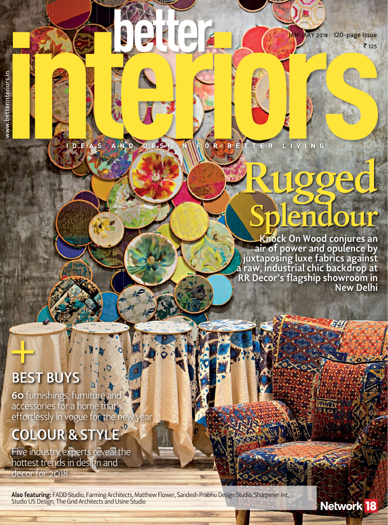₹ 125 JANUARY 2018 120-page Issue

#### OR BETTER DEASAND DESI G N LIVING

# Rugged Splendour

**Knock On Wood conjures an air of power and opulence by juxtaposing luxe fabrics against a raw, industrial chic backdrop at RR Decor's flagship showroom in New Delhi**

93

Network 18

### **beSt buyS**

www.betterinteriors.in

www.betterinteriors.i

**60** furnishings, furniture and accessories for a home that's effortlessly in vogue for the new year

### **COlOuR & Style**

Five industry experts reveal the hottest trends in design and

decor for 2018

**Also featuring:** FADD Studio, Farming Architects, Matthew Flower, Sandesh Prabhu Design Studio, Sharpener Inc, Studio US Design, The Grid Architects and Usine Studio